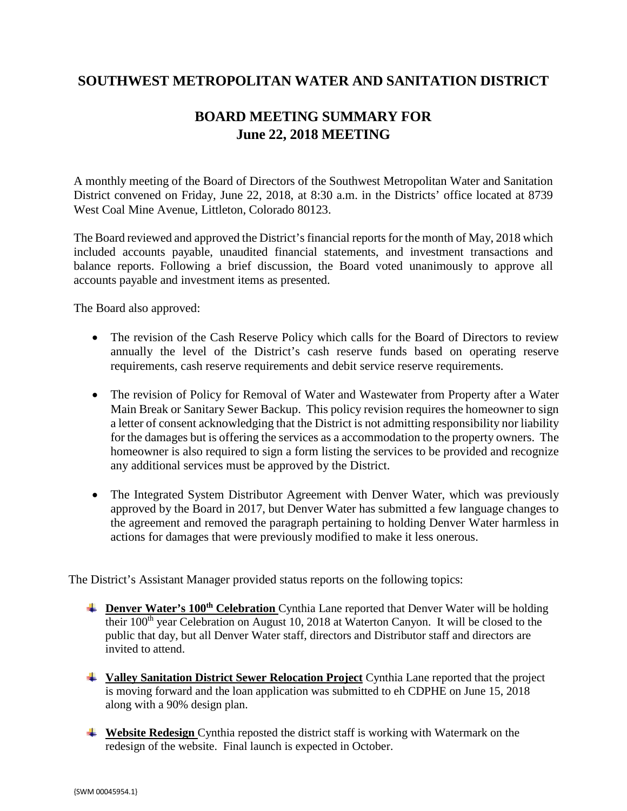## **SOUTHWEST METROPOLITAN WATER AND SANITATION DISTRICT**

## **BOARD MEETING SUMMARY FOR June 22, 2018 MEETING**

A monthly meeting of the Board of Directors of the Southwest Metropolitan Water and Sanitation District convened on Friday, June 22, 2018, at 8:30 a.m. in the Districts' office located at 8739 West Coal Mine Avenue, Littleton, Colorado 80123.

The Board reviewed and approved the District's financial reports for the month of May, 2018 which included accounts payable, unaudited financial statements, and investment transactions and balance reports. Following a brief discussion, the Board voted unanimously to approve all accounts payable and investment items as presented.

The Board also approved:

- The revision of the Cash Reserve Policy which calls for the Board of Directors to review annually the level of the District's cash reserve funds based on operating reserve requirements, cash reserve requirements and debit service reserve requirements.
- The revision of Policy for Removal of Water and Wastewater from Property after a Water Main Break or Sanitary Sewer Backup. This policy revision requires the homeowner to sign a letter of consent acknowledging that the District is not admitting responsibility nor liability for the damages but is offering the services as a accommodation to the property owners. The homeowner is also required to sign a form listing the services to be provided and recognize any additional services must be approved by the District.
- The Integrated System Distributor Agreement with Denver Water, which was previously approved by the Board in 2017, but Denver Water has submitted a few language changes to the agreement and removed the paragraph pertaining to holding Denver Water harmless in actions for damages that were previously modified to make it less onerous.

The District's Assistant Manager provided status reports on the following topics:

- **Example 100th Celebration** Cynthia Lane reported that Denver Water will be holding their 100<sup>th</sup> year Celebration on August 10, 2018 at Waterton Canyon. It will be closed to the public that day, but all Denver Water staff, directors and Distributor staff and directors are invited to attend.
- **Valley Sanitation District Sewer Relocation Project** Cynthia Lane reported that the project is moving forward and the loan application was submitted to eh CDPHE on June 15, 2018 along with a 90% design plan.
- **Website Redesign** Cynthia reposted the district staff is working with Watermark on the redesign of the website. Final launch is expected in October.